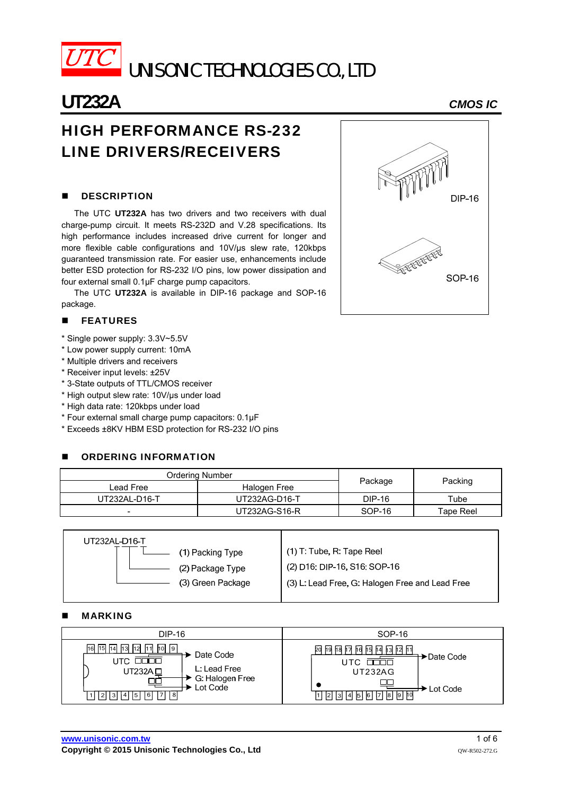

# UNISONIC TECHNOLOGIES CO., LTD

# **UT232A** *CMOS IC*

## HIGH PERFORMANCE RS-232 LINE DRIVERS/RECEIVERS

### **DESCRIPTION**

The UTC **UT232A** has two drivers and two receivers with dual charge-pump circuit. It meets RS-232D and V.28 specifications. Its high performance includes increased drive current for longer and more flexible cable configurations and 10V/us slew rate, 120kbps guaranteed transmission rate. For easier use, enhancements include better ESD protection for RS-232 I/O pins, low power dissipation and four external small 0.1µF charge pump capacitors.

The UTC **UT232A** is available in DIP-16 package and SOP-16 package.

#### **FEATURES**

- \* Single power supply: 3.3V~5.5V
- \* Low power supply current: 10mA
- \* Multiple drivers and receivers
- \* Receiver input levels: ±25V
- \* 3-State outputs of TTL/CMOS receiver
- \* High output slew rate: 10V/µs under load
- \* High data rate: 120kbps under load
- \* Four external small charge pump capacitors: 0.1µF
- \* Exceeds ±8KV HBM ESD protection for RS-232 I/O pins

#### ORDERING INFORMATION

| Ordering Number          |               |          |           |  |
|--------------------------|---------------|----------|-----------|--|
| Lead Free                | Halogen Free  | Package  | Packing   |  |
| UT232AL-D16-T            | UT232AG-D16-T | DIP-16   | Tube      |  |
| $\overline{\phantom{0}}$ | UT232AG-S16-R | $SOP-16$ | Tape Reel |  |

| UT232AL-D16-T     |                                                 |
|-------------------|-------------------------------------------------|
| (1) Packing Type  | $(1)$ T: Tube, R: Tape Reel                     |
| (2) Package Type  | (2) D16: DIP-16, S16: SOP-16                    |
| (3) Green Package | (3) L: Lead Free, G: Halogen Free and Lead Free |
|                   |                                                 |

#### MARKING

| <b>DIP-16</b>                                                                                                                            | SOP-16                                                                                                                                 |
|------------------------------------------------------------------------------------------------------------------------------------------|----------------------------------------------------------------------------------------------------------------------------------------|
| 16 15 14 13 12 11 10 9<br>Date Code<br>3000<br>UTC.<br>L: Lead Free<br>UT232A □<br>G: Halogen Free<br>Lot Code<br>□  2  3  4  5  6  7  8 | २० छि छि छि छि छि छि छि छि गि<br>→ Date Code<br>nnnn<br><b>UT232AG</b><br>∙ Lot Code<br>   2   3   4   5   6   7   8   9   10 <br>11 I |

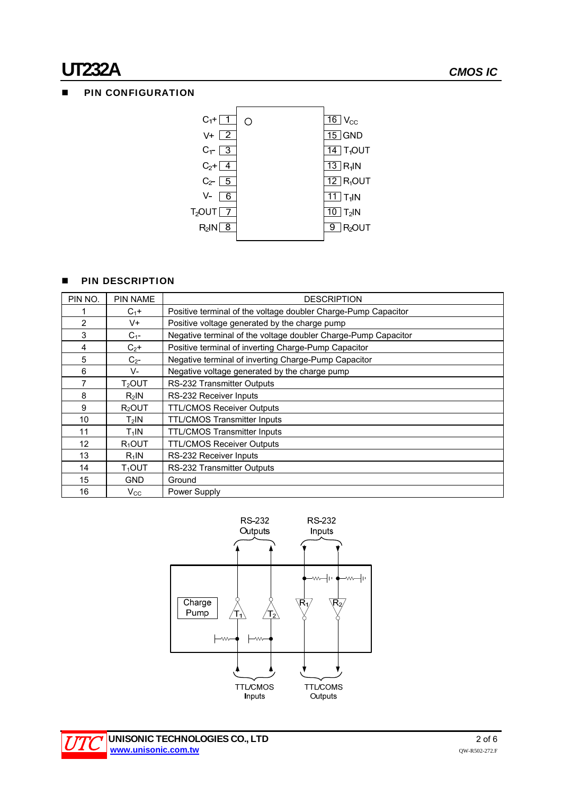# **UT232A** *CMOS IC*

### **PIN CONFIGURATION**



#### **PIN DESCRIPTION**

| PIN NO.           | <b>PIN NAME</b>    | <b>DESCRIPTION</b>                                             |
|-------------------|--------------------|----------------------------------------------------------------|
|                   | $C_1+$             | Positive terminal of the voltage doubler Charge-Pump Capacitor |
| 2                 | V+                 | Positive voltage generated by the charge pump                  |
| 3                 | $C_{1}$ -          | Negative terminal of the voltage doubler Charge-Pump Capacitor |
| 4                 | $C_2+$             | Positive terminal of inverting Charge-Pump Capacitor           |
| 5                 | $C_{2}$ -          | Negative terminal of inverting Charge-Pump Capacitor           |
| 6                 | V-                 | Negative voltage generated by the charge pump                  |
| 7                 | $T2$ OUT           | RS-232 Transmitter Outputs                                     |
| 8                 | $R_2$ IN           | RS-232 Receiver Inputs                                         |
| 9                 | R <sub>2</sub> OUT | <b>TTL/CMOS Receiver Outputs</b>                               |
| 10                | $T_2$ IN           | <b>TTL/CMOS Transmitter Inputs</b>                             |
| 11                | $T_1$ IN           | <b>TTL/CMOS Transmitter Inputs</b>                             |
| $12 \overline{ }$ | $R_1$ OUT          | <b>TTL/CMOS Receiver Outputs</b>                               |
| 13                | $R_1$ IN           | RS-232 Receiver Inputs                                         |
| 14                | $T_1$ out          | RS-232 Transmitter Outputs                                     |
| 15                | <b>GND</b>         | Ground                                                         |
| 16                | $V_{\rm CC}$       | Power Supply                                                   |



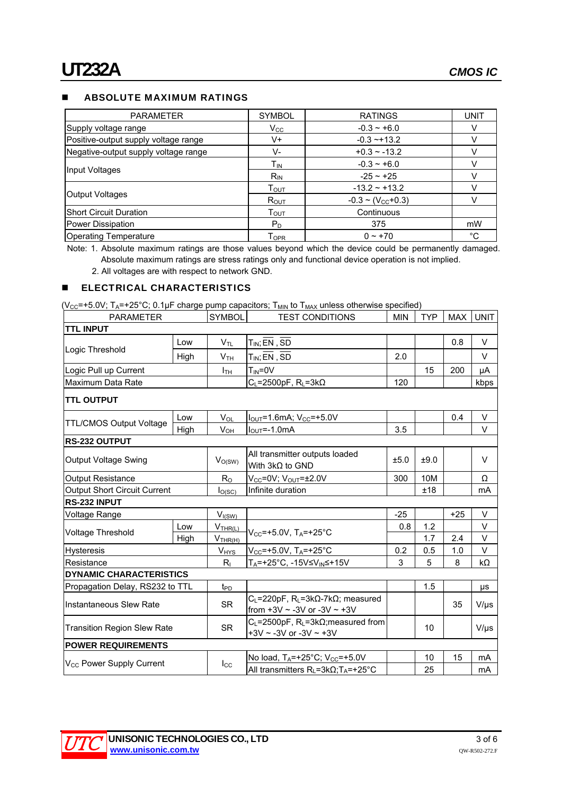#### **ABSOLUTE MAXIMUM RATINGS**

| <b>PARAMETER</b>                     | <b>SYMBOL</b>               | <b>RATINGS</b>                  | <b>UNIT</b> |
|--------------------------------------|-----------------------------|---------------------------------|-------------|
| Supply voltage range                 | $V_{\rm CC}$                | $-0.3 - +6.0$                   |             |
| Positive-output supply voltage range | V+                          | $-0.3 - +13.2$                  |             |
| Negative-output supply voltage range | V-                          | $+0.3 - 13.2$                   |             |
|                                      | Тın                         | $-0.3 - +6.0$                   |             |
| Input Voltages                       | $R_{IN}$                    | $-25 - 125$                     |             |
|                                      | $\mathsf{T}_{\mathsf{OUT}}$ | $-13.2 - +13.2$                 |             |
| Output Voltages                      | $R_{OUT}$                   | $-0.3 \sim (V_{\text{CC}}+0.3)$ |             |
| <b>Short Circuit Duration</b>        | $\mathsf{T}_{\mathsf{OUT}}$ | Continuous                      |             |
| Power Dissipation                    | $P_D$                       | 375                             | mW          |
| <b>Operating Temperature</b>         | $\mathsf{T}_{\mathsf{OPR}}$ | $0 - +70$                       | °C          |

Note: 1. Absolute maximum ratings are those values beyond which the device could be permanently damaged. Absolute maximum ratings are stress ratings only and functional device operation is not implied.

2. All voltages are with respect to network GND.

#### **ELECTRICAL CHARACTERISTICS**

(V<sub>CC</sub>=+5.0V; T<sub>A</sub>=+25°C; 0.1µF charge pump capacitors; T<sub>MIN</sub> to T<sub>MAX</sub> unless otherwise specified)

| <b>PARAMETER</b>                     |      | <b>SYMBOL</b>                  | <b>TEST CONDITIONS</b>                                                                                       | <b>MIN</b> | <b>TYP</b> | MAX I | <b>UNIT</b> |
|--------------------------------------|------|--------------------------------|--------------------------------------------------------------------------------------------------------------|------------|------------|-------|-------------|
| <b>TTL INPUT</b>                     |      |                                |                                                                                                              |            |            |       |             |
|                                      | Low  | $V_\mathsf{TL}$                | $T_{IN}$ ; EN, SD                                                                                            |            |            | 0.8   | V           |
| Logic Threshold                      | High | V <sub>TH</sub>                | $T_{IN}$ ; EN, SD                                                                                            | 2.0        |            |       | V           |
| Logic Pull up Current                |      | Ітн                            | $T_{IN} = 0V$                                                                                                |            | 15         | 200   | μA          |
| Maximum Data Rate                    |      |                                | $C_L = 2500pF$ , RL=3k $\Omega$                                                                              | 120        |            |       | kbps        |
| <b>TTL OUTPUT</b>                    |      |                                |                                                                                                              |            |            |       |             |
|                                      | Low  | $V_{OL}$                       | $I_{\text{OUT}} = 1.6 \text{mA}$ ; $V_{\text{CC}} = +5.0 \text{V}$                                           |            |            | 0.4   | $\vee$      |
| <b>TTL/CMOS Output Voltage</b>       | High | $V_{OH}$                       | $I_{\text{OUT}} = -1.0 \text{mA}$                                                                            | 3.5        |            |       | V           |
| RS-232 OUTPUT                        |      |                                |                                                                                                              |            |            |       |             |
| <b>Output Voltage Swing</b>          |      | $V_{O(SW)}$                    | All transmitter outputs loaded<br>With $3k\Omega$ to GND                                                     | ±5.0       | ±9.0       |       | V           |
| <b>Output Resistance</b>             |      | $R_{\rm O}$                    | $V_{CC}$ =0V; $V_{OUT}$ =±2.0V                                                                               | 300        | 10M        |       | Ω           |
| <b>Output Short Circuit Current</b>  |      | I <sub>O</sub> (SC)            | Infinite duration                                                                                            |            | ±18        |       | <b>mA</b>   |
| <b>RS-232 INPUT</b>                  |      |                                |                                                                                                              |            |            |       |             |
| Voltage Range                        |      | $V_{I(SW)}$                    |                                                                                                              | $-25$      |            | $+25$ | V           |
| Voltage Threshold                    | Low  | $V_{\overline{\text{IHR}(L)}}$ | $V_{CC}$ =+5.0V, T <sub>A</sub> =+25°C                                                                       | 0.8        | 1.2        |       | V           |
|                                      | High | V <sub>THR(H)</sub>            |                                                                                                              |            | 1.7        | 2.4   | $\vee$      |
| <b>Hysteresis</b>                    |      | $V_{HYS}$                      | $V_{CC}$ =+5.0V, T <sub>A</sub> =+25°C                                                                       | 0.2        | 0.5        | 1.0   | V           |
| Resistance                           |      | $R_{\rm I}$                    | T <sub>A</sub> =+25°C, -15V≤V <sub>IN</sub> ≤+15V                                                            | 3          | 5          | 8     | $k\Omega$   |
| <b>DYNAMIC CHARACTERISTICS</b>       |      |                                |                                                                                                              |            |            |       |             |
| Propagation Delay, RS232 to TTL      |      | $t_{\text{PD}}$                |                                                                                                              |            | 1.5        |       | μs          |
| Instantaneous Slew Rate              |      | <b>SR</b>                      | $C_{L}$ =220pF, R <sub>L</sub> =3k $\Omega$ -7k $\Omega$ ; measured<br>from $+3V \sim -3V$ or $-3V \sim +3V$ |            |            | 35    | $V/\mu s$   |
| <b>Transition Region Slew Rate</b>   |      | <b>SR</b>                      | $C_L$ =2500pF, R <sub>L</sub> =3k $\Omega$ ; measured from<br>+3V $\sim$ -3V or -3V $\sim$ +3V               |            | 10         |       | $V/\mu s$   |
| <b>POWER REQUIREMENTS</b>            |      |                                |                                                                                                              |            |            |       |             |
| V <sub>CC</sub> Power Supply Current |      | $_{\rm lcc}$                   | No load, $T_A = +25^{\circ}C$ ; $V_{CC} = +5.0V$                                                             |            | 10         | 15    | mA          |
|                                      |      |                                | All transmitters $R_L = 3k\Omega$ ; $T_A = +25^\circ \text{C}$                                               |            | 25         |       | mA          |

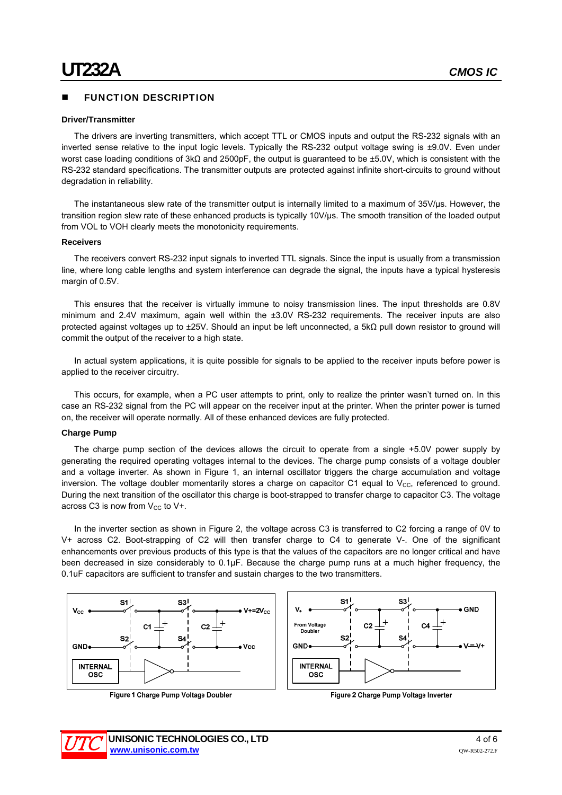#### FUNCTION DESCRIPTION

#### **Driver/Transmitter**

The drivers are inverting transmitters, which accept TTL or CMOS inputs and output the RS-232 signals with an inverted sense relative to the input logic levels. Typically the RS-232 output voltage swing is ±9.0V. Even under worst case loading conditions of 3kΩ and 2500pF, the output is guaranteed to be ±5.0V, which is consistent with the RS-232 standard specifications. The transmitter outputs are protected against infinite short-circuits to ground without degradation in reliability.

The instantaneous slew rate of the transmitter output is internally limited to a maximum of 35V/us. However, the transition region slew rate of these enhanced products is typically 10V/µs. The smooth transition of the loaded output from VOL to VOH clearly meets the monotonicity requirements.

#### **Receivers**

The receivers convert RS-232 input signals to inverted TTL signals. Since the input is usually from a transmission line, where long cable lengths and system interference can degrade the signal, the inputs have a typical hysteresis margin of 0.5V.

This ensures that the receiver is virtually immune to noisy transmission lines. The input thresholds are 0.8V minimum and 2.4V maximum, again well within the ±3.0V RS-232 requirements. The receiver inputs are also protected against voltages up to ±25V. Should an input be left unconnected, a 5kΩ pull down resistor to ground will commit the output of the receiver to a high state.

In actual system applications, it is quite possible for signals to be applied to the receiver inputs before power is applied to the receiver circuitry.

This occurs, for example, when a PC user attempts to print, only to realize the printer wasn't turned on. In this case an RS-232 signal from the PC will appear on the receiver input at the printer. When the printer power is turned on, the receiver will operate normally. All of these enhanced devices are fully protected.

#### **Charge Pump**

The charge pump section of the devices allows the circuit to operate from a single +5.0V power supply by generating the required operating voltages internal to the devices. The charge pump consists of a voltage doubler and a voltage inverter. As shown in Figure 1, an internal oscillator triggers the charge accumulation and voltage inversion. The voltage doubler momentarily stores a charge on capacitor C1 equal to  $V_{CC}$ , referenced to ground. During the next transition of the oscillator this charge is boot-strapped to transfer charge to capacitor C3. The voltage across C3 is now from  $V_{CC}$  to  $V_{+}$ .

In the inverter section as shown in Figure 2, the voltage across C3 is transferred to C2 forcing a range of 0V to V+ across C2. Boot-strapping of C2 will then transfer charge to C4 to generate V-. One of the significant enhancements over previous products of this type is that the values of the capacitors are no longer critical and have been decreased in size considerably to 0.1µF. Because the charge pump runs at a much higher frequency, the 0.1uF capacitors are sufficient to transfer and sustain charges to the two transmitters.



Figure 1 Charge Pump Voltage Doubler



Figure 2 Charge Pump Voltage Inverter

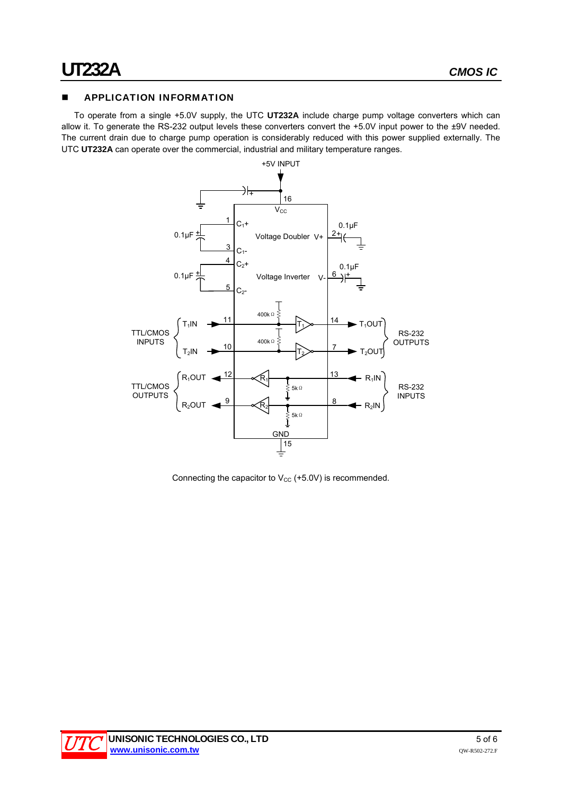#### **APPLICATION INFORMATION**

To operate from a single +5.0V supply, the UTC **UT232A** include charge pump voltage converters which can allow it. To generate the RS-232 output levels these converters convert the +5.0V input power to the ±9V needed. The current drain due to charge pump operation is considerably reduced with this power supplied externally. The UTC **UT232A** can operate over the commercial, industrial and military temperature ranges.



Connecting the capacitor to  $V_{CC}$  (+5.0V) is recommended.